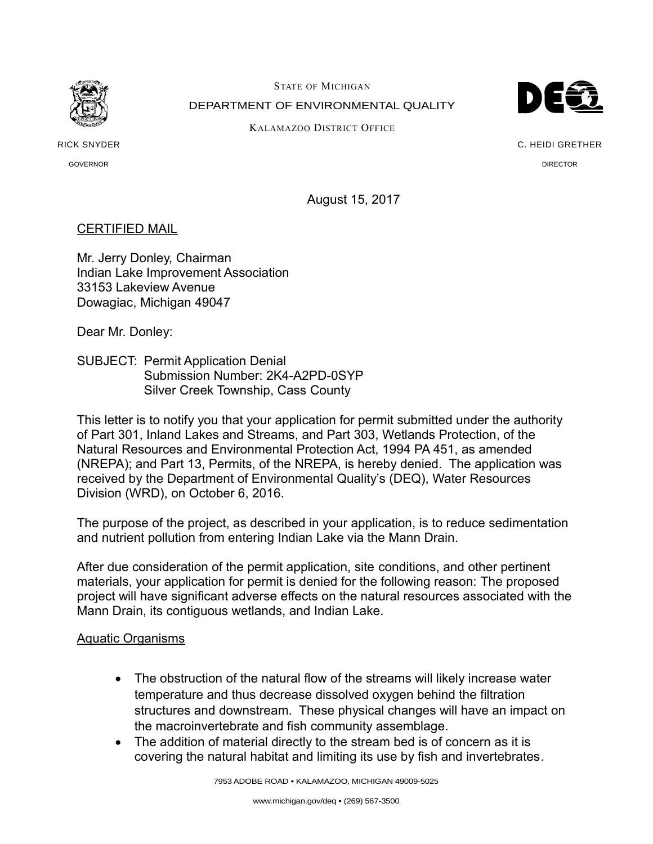

STATE OF MICHIGAN DEPARTMENT OF ENVIRONMENTAL QUALITY



KALAMAZOO DISTRICT OFFICE

RICK SNYDER GOVERNOR

C. HEIDI GRETHER DIRECTOR

August 15, 2017

## CERTIFIED MAIL

Mr. Jerry Donley, Chairman Indian Lake Improvement Association 33153 Lakeview Avenue Dowagiac, Michigan 49047

Dear Mr. Donley:

SUBJECT: Permit Application Denial Submission Number: 2K4-A2PD-0SYP Silver Creek Township, Cass County

This letter is to notify you that your application for permit submitted under the authority of Part 301, Inland Lakes and Streams, and Part 303, Wetlands Protection, of the Natural Resources and Environmental Protection Act, 1994 PA 451, as amended (NREPA); and Part 13, Permits, of the NREPA, is hereby denied. The application was received by the Department of Environmental Quality's (DEQ), Water Resources Division (WRD), on October 6, 2016.

The purpose of the project, as described in your application, is to reduce sedimentation and nutrient pollution from entering Indian Lake via the Mann Drain.

After due consideration of the permit application, site conditions, and other pertinent materials, your application for permit is denied for the following reason: The proposed project will have significant adverse effects on the natural resources associated with the Mann Drain, its contiguous wetlands, and Indian Lake.

## Aquatic Organisms

- The obstruction of the natural flow of the streams will likely increase water temperature and thus decrease dissolved oxygen behind the filtration structures and downstream. These physical changes will have an impact on the macroinvertebrate and fish community assemblage.
- The addition of material directly to the stream bed is of concern as it is covering the natural habitat and limiting its use by fish and invertebrates.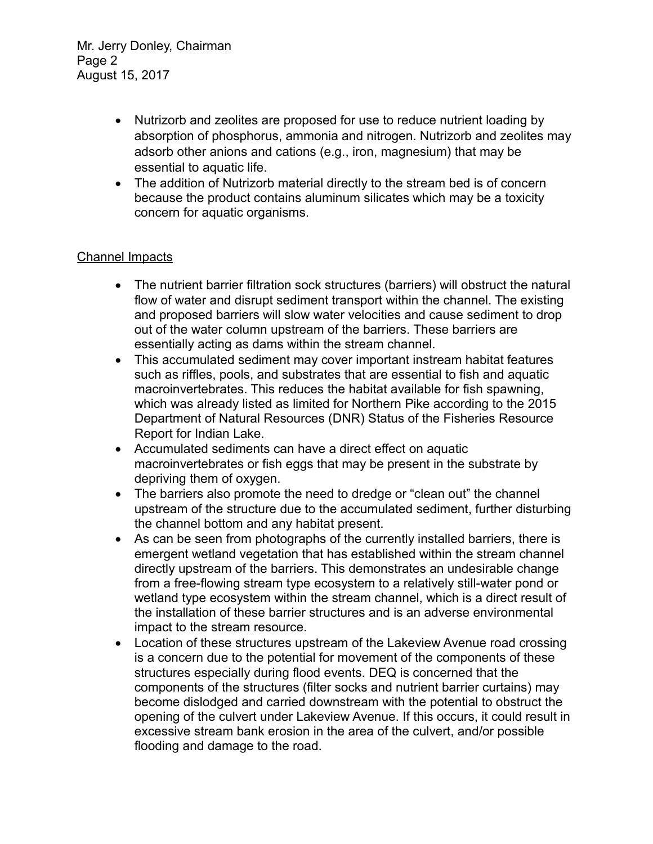Mr. Jerry Donley, Chairman Page 2 August 15, 2017

- Nutrizorb and zeolites are proposed for use to reduce nutrient loading by absorption of phosphorus, ammonia and nitrogen. Nutrizorb and zeolites may adsorb other anions and cations (e.g., iron, magnesium) that may be essential to aquatic life.
- The addition of Nutrizorb material directly to the stream bed is of concern because the product contains aluminum silicates which may be a toxicity concern for aquatic organisms.

## Channel Impacts

- The nutrient barrier filtration sock structures (barriers) will obstruct the natural flow of water and disrupt sediment transport within the channel. The existing and proposed barriers will slow water velocities and cause sediment to drop out of the water column upstream of the barriers. These barriers are essentially acting as dams within the stream channel.
- This accumulated sediment may cover important instream habitat features such as riffles, pools, and substrates that are essential to fish and aquatic macroinvertebrates. This reduces the habitat available for fish spawning, which was already listed as limited for Northern Pike according to the 2015 Department of Natural Resources (DNR) Status of the Fisheries Resource Report for Indian Lake.
- Accumulated sediments can have a direct effect on aquatic macroinvertebrates or fish eggs that may be present in the substrate by depriving them of oxygen.
- The barriers also promote the need to dredge or "clean out" the channel upstream of the structure due to the accumulated sediment, further disturbing the channel bottom and any habitat present.
- As can be seen from photographs of the currently installed barriers, there is emergent wetland vegetation that has established within the stream channel directly upstream of the barriers. This demonstrates an undesirable change from a free-flowing stream type ecosystem to a relatively still-water pond or wetland type ecosystem within the stream channel, which is a direct result of the installation of these barrier structures and is an adverse environmental impact to the stream resource.
- Location of these structures upstream of the Lakeview Avenue road crossing is a concern due to the potential for movement of the components of these structures especially during flood events. DEQ is concerned that the components of the structures (filter socks and nutrient barrier curtains) may become dislodged and carried downstream with the potential to obstruct the opening of the culvert under Lakeview Avenue. If this occurs, it could result in excessive stream bank erosion in the area of the culvert, and/or possible flooding and damage to the road.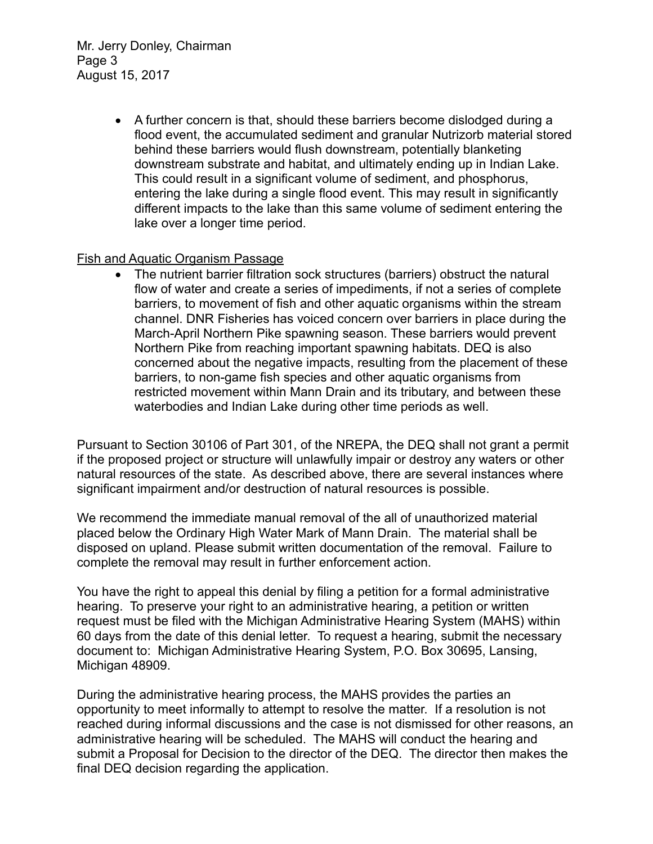Mr. Jerry Donley, Chairman Page 3 August 15, 2017

> A further concern is that, should these barriers become dislodged during a flood event, the accumulated sediment and granular Nutrizorb material stored behind these barriers would flush downstream, potentially blanketing downstream substrate and habitat, and ultimately ending up in Indian Lake. This could result in a significant volume of sediment, and phosphorus, entering the lake during a single flood event. This may result in significantly different impacts to the lake than this same volume of sediment entering the lake over a longer time period.

## Fish and Aquatic Organism Passage

 The nutrient barrier filtration sock structures (barriers) obstruct the natural flow of water and create a series of impediments, if not a series of complete barriers, to movement of fish and other aquatic organisms within the stream channel. DNR Fisheries has voiced concern over barriers in place during the March-April Northern Pike spawning season. These barriers would prevent Northern Pike from reaching important spawning habitats. DEQ is also concerned about the negative impacts, resulting from the placement of these barriers, to non-game fish species and other aquatic organisms from restricted movement within Mann Drain and its tributary, and between these waterbodies and Indian Lake during other time periods as well.

Pursuant to Section 30106 of Part 301, of the NREPA, the DEQ shall not grant a permit if the proposed project or structure will unlawfully impair or destroy any waters or other natural resources of the state. As described above, there are several instances where significant impairment and/or destruction of natural resources is possible.

We recommend the immediate manual removal of the all of unauthorized material placed below the Ordinary High Water Mark of Mann Drain. The material shall be disposed on upland. Please submit written documentation of the removal. Failure to complete the removal may result in further enforcement action.

You have the right to appeal this denial by filing a petition for a formal administrative hearing. To preserve your right to an administrative hearing, a petition or written request must be filed with the Michigan Administrative Hearing System (MAHS) within 60 days from the date of this denial letter. To request a hearing, submit the necessary document to: Michigan Administrative Hearing System, P.O. Box 30695, Lansing, Michigan 48909.

During the administrative hearing process, the MAHS provides the parties an opportunity to meet informally to attempt to resolve the matter. If a resolution is not reached during informal discussions and the case is not dismissed for other reasons, an administrative hearing will be scheduled. The MAHS will conduct the hearing and submit a Proposal for Decision to the director of the DEQ. The director then makes the final DEQ decision regarding the application.